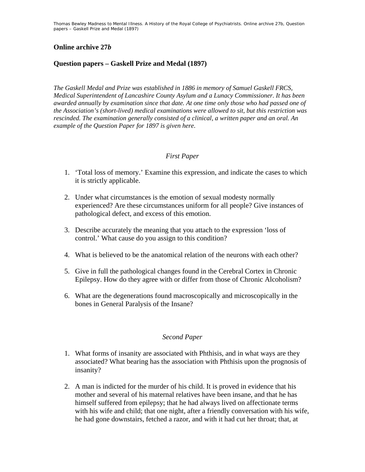Thomas Bewley *Madness to Mental Illness. A History of the Royal College of Psychiatrists*. Online archive 27*b*, *Question papers – Gaskell Prize and Medal (1897)*

## **Online archive 27***b*

## **Question papers – Gaskell Prize and Medal (1897)**

*The Gaskell Medal and Prize was established in 1886 in memory of Samuel Gaskell FRCS, Medical Superintendent of Lancashire County Asylum and a Lunacy Commissioner. It has been awarded annually by examination since that date. At one time only those who had passed one of the Association's (short-lived) medical examinations were allowed to sit, but this restriction was rescinded. The examination generally consisted of a clinical, a written paper and an oral. An example of the Question Paper for 1897 is given here.* 

## *First Paper*

- 1. 'Total loss of memory.' Examine this expression, and indicate the cases to which it is strictly applicable.
- 2. Under what circumstances is the emotion of sexual modesty normally experienced? Are these circumstances uniform for all people? Give instances of pathological defect, and excess of this emotion.
- 3. Describe accurately the meaning that you attach to the expression 'loss of control.' What cause do you assign to this condition?
- 4. What is believed to be the anatomical relation of the neurons with each other?
- 5. Give in full the pathological changes found in the Cerebral Cortex in Chronic Epilepsy. How do they agree with or differ from those of Chronic Alcoholism?
- 6. What are the degenerations found macroscopically and microscopically in the bones in General Paralysis of the Insane?

## *Second Paper*

- 1. What forms of insanity are associated with Phthisis, and in what ways are they associated? What bearing has the association with Phthisis upon the prognosis of insanity?
- 2. A man is indicted for the murder of his child. It is proved in evidence that his mother and several of his maternal relatives have been insane, and that he has himself suffered from epilepsy; that he had always lived on affectionate terms with his wife and child; that one night, after a friendly conversation with his wife, he had gone downstairs, fetched a razor, and with it had cut her throat; that, at